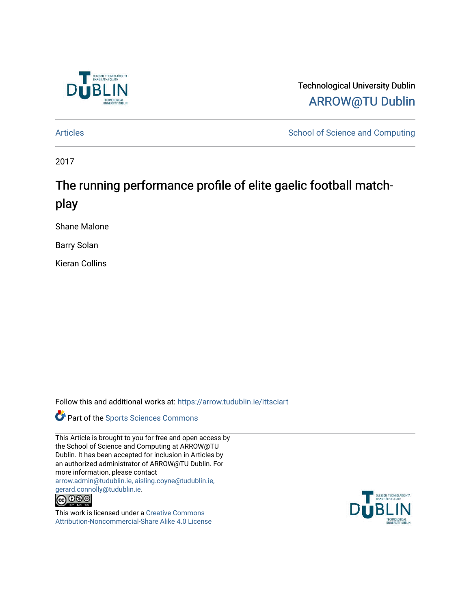

Technological University Dublin [ARROW@TU Dublin](https://arrow.tudublin.ie/) 

[Articles](https://arrow.tudublin.ie/ittsciart) **School of Science and Computing** 

2017

# The running performance profile of elite gaelic football matchplay

Shane Malone

Barry Solan

Kieran Collins

Follow this and additional works at: [https://arrow.tudublin.ie/ittsciart](https://arrow.tudublin.ie/ittsciart?utm_source=arrow.tudublin.ie%2Fittsciart%2F122&utm_medium=PDF&utm_campaign=PDFCoverPages)



This Article is brought to you for free and open access by the School of Science and Computing at ARROW@TU Dublin. It has been accepted for inclusion in Articles by an authorized administrator of ARROW@TU Dublin. For more information, please contact [arrow.admin@tudublin.ie, aisling.coyne@tudublin.ie,](mailto:arrow.admin@tudublin.ie,%20aisling.coyne@tudublin.ie,%20gerard.connolly@tudublin.ie)  [gerard.connolly@tudublin.ie](mailto:arrow.admin@tudublin.ie,%20aisling.coyne@tudublin.ie,%20gerard.connolly@tudublin.ie).



This work is licensed under a [Creative Commons](http://creativecommons.org/licenses/by-nc-sa/4.0/) [Attribution-Noncommercial-Share Alike 4.0 License](http://creativecommons.org/licenses/by-nc-sa/4.0/)

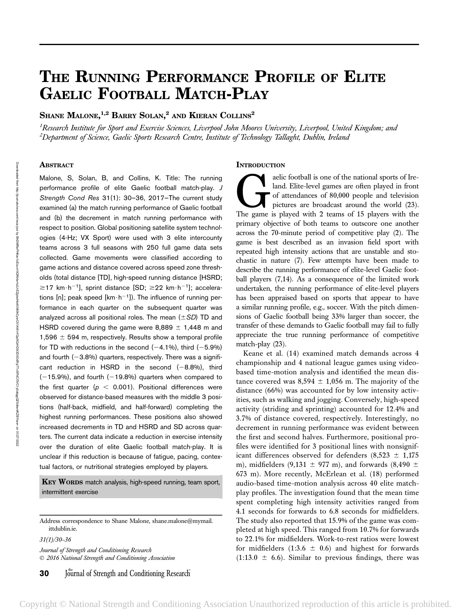# THE RUNNING PERFORMANCE PROFILE OF ELITE GAELIC FOOTBALL MATCH-PLAY

Shane Malone, $^{1,2}$  Barry Solan, $^{2}$  and Kieran Collins $^{2}$ 

<sup>1</sup>Research Institute for Sport and Exercise Sciences, Liverpool John Moores University, Liverpool, United Kingdom; and <sup>2</sup>Department of Science, Gaelic Sports Research Centre, Institute of Technology Tallaght, Dublin, Ireland

# **ABSTRACT**

Malone, S, Solan, B, and Collins, K. Title: The running performance profile of elite Gaelic football match-play. J Strength Cond Res 31(1): 30–36, 2017—The current study examined (a) the match running performance of Gaelic football and (b) the decrement in match running performance with respect to position. Global positioning satellite system technologies (4-Hz; VX Sport) were used with 3 elite intercounty teams across 3 full seasons with 250 full game data sets collected. Game movements were classified according to game actions and distance covered across speed zone thresholds (total distance [TD], high-speed running distance [HSRD;  $\geq$ 17 km $\cdot$ h<sup>-1</sup>], sprint distance [SD;  $\geq$ 22 km $\cdot$ h<sup>-1</sup>]; accelerations [n]; peak speed [km $\cdot$ h<sup>-1</sup>]). The influence of running performance in each quarter on the subsequent quarter was analyzed across all positional roles. The mean  $(\pm SD)$  TD and HSRD covered during the game were 8,889  $\pm$  1,448 m and 1,596  $\pm$  594 m, respectively. Results show a temporal profile for TD with reductions in the second  $(-4.1\%)$ , third  $(-5.9\%)$ and fourth  $(-3.8%)$  quarters, respectively. There was a significant reduction in HSRD in the second  $(-8.8\%)$ , third  $(-15.9%)$ , and fourth  $(-19.8%)$  quarters when compared to the first quarter ( $p < 0.001$ ). Positional differences were observed for distance-based measures with the middle 3 positions (half-back, midfield, and half-forward) completing the highest running performances. These positions also showed increased decrements in TD and HSRD and SD across quarters. The current data indicate a reduction in exercise intensity over the duration of elite Gaelic football match-play. It is unclear if this reduction is because of fatigue, pacing, contextual factors, or nutritional strategies employed by players.

KEY WORDS match analysis, high-speed running, team sport, intermittent exercise

Address correspondence to Shane Malone, shane.malone@mymail. ittdublin.ie.

31(1)/30–36

Journal of Strength and Conditioning Research 2016 National Strength and Conditioning Association

#### **INTRODUCTION**

aelic football is one of the national sports of Ire-<br>land. Elite-level games are often played in front<br>of attendances of 80,000 people and television<br>pictures are broadcast around the world (23).<br>The game is played with 2 land. Elite-level games are often played in front of attendances of 80,000 people and television pictures are broadcast around the world (23). The game is played with 2 teams of 15 players with the primary objective of both teams to outscore one another across the 70-minute period of competitive play (2). The game is best described as an invasion field sport with repeated high intensity actions that are unstable and stochastic in nature (7). Few attempts have been made to describe the running performance of elite-level Gaelic football players (7,14). As a consequence of the limited work undertaken, the running performance of elite-level players has been appraised based on sports that appear to have a similar running profile, e.g., soccer. With the pitch dimensions of Gaelic football being 33% larger than soccer, the transfer of these demands to Gaelic football may fail to fully appreciate the true running performance of competitive match-play (23).

Keane et al. (14) examined match demands across 4 championship and 4 national league games using videobased time-motion analysis and identified the mean distance covered was  $8,594 \pm 1,056$  m. The majority of the distance (66%) was accounted for by low intensity activities, such as walking and jogging. Conversely, high-speed activity (striding and sprinting) accounted for 12.4% and 3.7% of distance covered, respectively. Interestingly, no decrement in running performance was evident between the first and second halves. Furthermore, positional profiles were identified for 3 positional lines with nonsignificant differences observed for defenders (8,523  $\pm$  1,175 m), midfielders (9,131  $\pm$  977 m), and forwards (8,490  $\pm$ 673 m). More recently, McErlean et al. (18) performed audio-based time-motion analysis across 40 elite matchplay profiles. The investigation found that the mean time spent completing high intensity activities ranged from 4.1 seconds for forwards to 6.8 seconds for midfielders. The study also reported that 15.9% of the game was completed at high speed. This ranged from 10.7% for forwards to 22.1% for midfielders. Work-to-rest ratios were lowest for midfielders  $(1:3.6 \pm 0.6)$  and highest for forwards  $(1:13.0 \pm 6.6)$ . Similar to previous findings, there was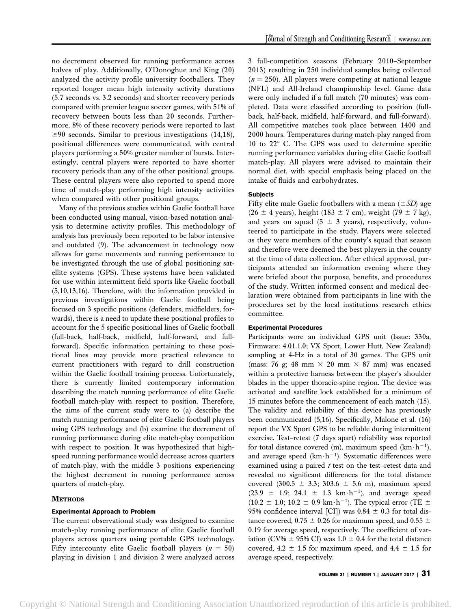no decrement observed for running performance across halves of play. Additionally, O'Donoghue and King (20) analyzed the activity profile university footballers. They reported longer mean high intensity activity durations (5.7 seconds vs. 3.2 seconds) and shorter recovery periods compared with premier league soccer games, with 51% of recovery between bouts less than 20 seconds. Furthermore, 8% of these recovery periods were reported to last  $\geq$ 90 seconds. Similar to previous investigations (14,18), positional differences were communicated, with central players performing a 50% greater number of bursts. Interestingly, central players were reported to have shorter recovery periods than any of the other positional groups. These central players were also reported to spend more time of match-play performing high intensity activities when compared with other positional groups.

Many of the previous studies within Gaelic football have been conducted using manual, vision-based notation analysis to determine activity profiles. This methodology of analysis has previously been reported to be labor intensive and outdated (9). The advancement in technology now allows for game movements and running performance to be investigated through the use of global positioning satellite systems (GPS). These systems have been validated for use within intermittent field sports like Gaelic football (5,10,13,16). Therefore, with the information provided in previous investigations within Gaelic football being focused on 3 specific positions (defenders, midfielders, forwards), there is a need to update these positional profiles to account for the 5 specific positional lines of Gaelic football (full-back, half-back, midfield, half-forward, and fullforward). Specific information pertaining to these positional lines may provide more practical relevance to current practitioners with regard to drill construction within the Gaelic football training process. Unfortunately, there is currently limited contemporary information describing the match running performance of elite Gaelic football match-play with respect to position. Therefore, the aims of the current study were to (a) describe the match running performance of elite Gaelic football players using GPS technology and (b) examine the decrement of running performance during elite match-play competition with respect to position. It was hypothesized that highspeed running performance would decrease across quarters of match-play, with the middle 3 positions experiencing the highest decrement in running performance across quarters of match-play.

# **METHODS**

# Experimental Approach to Problem

The current observational study was designed to examine match-play running performance of elite Gaelic football players across quarters using portable GPS technology. Fifty intercounty elite Gaelic football players ( $n = 50$ ) playing in division 1 and division 2 were analyzed across 3 full-competition seasons (February 2010–September 2013) resulting in 250 individual samples being collected  $(n = 250)$ . All players were competing at national league (NFL) and All-Ireland championship level. Game data were only included if a full match (70 minutes) was completed. Data were classified according to position (fullback, half-back, midfield, half-forward, and full-forward). All competitive matches took place between 1400 and 2000 hours. Temperatures during match-play ranged from 10 to  $22^{\circ}$  C. The GPS was used to determine specific running performance variables during elite Gaelic football match-play. All players were advised to maintain their normal diet, with special emphasis being placed on the intake of fluids and carbohydrates.

## **Subjects**

Fifty elite male Gaelic footballers with a mean  $(\pm SD)$  age  $(26 \pm 4 \text{ years})$ , height  $(183 \pm 7 \text{ cm})$ , weight  $(79 \pm 7 \text{ kg})$ , and years on squad (5  $\pm$  3 years), respectively, volunteered to participate in the study. Players were selected as they were members of the county's squad that season and therefore were deemed the best players in the county at the time of data collection. After ethical approval, participants attended an information evening where they were briefed about the purpose, benefits, and procedures of the study. Written informed consent and medical declaration were obtained from participants in line with the procedures set by the local institutions research ethics committee.

### Experimental Procedures

Participants wore an individual GPS unit (Issue: 330a, Firmware: 4.01.1.0; VX Sport, Lower Hutt, New Zealand) sampling at 4-Hz in a total of 30 games. The GPS unit (mass: 76 g; 48 mm  $\times$  20 mm  $\times$  87 mm) was encased within a protective harness between the player's shoulder blades in the upper thoracic-spine region. The device was activated and satellite lock established for a minimum of 15 minutes before the commencement of each match (15). The validity and reliability of this device has previously been communicated (5,16). Specifically, Malone et al. (16) report the VX Sport GPS to be reliable during intermittent exercise. Test–retest (7 days apart) reliability was reported for total distance covered (m), maximum speed  $(km \cdot h^{-1})$ , and average speed  $(km \cdot h^{-1})$ . Systematic differences were examined using a paired  $t$  test on the test-retest data and revealed no significant differences for the total distance covered (300.5  $\pm$  3.3; 303.6  $\pm$  5.6 m), maximum speed  $(23.9 \pm 1.9; 24.1 \pm 1.3 \text{ km} \cdot \text{h}^{-1})$ , and average speed  $(10.2 \pm 1.0; 10.2 \pm 0.9 \text{ km} \cdot \text{h}^{-1})$ . The typical error (TE  $\pm$ 95% confidence interval [CI]) was  $0.84 \pm 0.3$  for total distance covered, 0.75  $\pm$  0.26 for maximum speed, and 0.55  $\pm$ 0.19 for average speed, respectively. The coefficient of variation (CV%  $\pm$  95% CI) was 1.0  $\pm$  0.4 for the total distance covered, 4.2  $\pm$  1.5 for maximum speed, and 4.4  $\pm$  1.5 for average speed, respectively.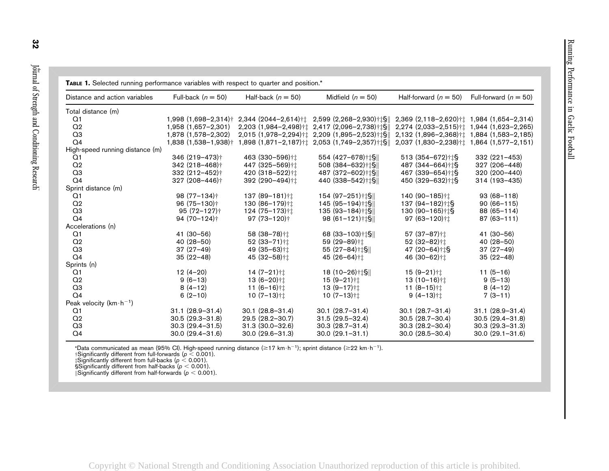| <b>TABLE 1.</b> Selected running performance variables with respect to quarter and position. <sup>*</sup> |                                      |                           |                                                                     |                                                       |                         |
|-----------------------------------------------------------------------------------------------------------|--------------------------------------|---------------------------|---------------------------------------------------------------------|-------------------------------------------------------|-------------------------|
| Distance and action variables                                                                             | Full-back $(n = 50)$                 | Half-back $(n = 50)$      | Midfield $(n = 50)$                                                 | Half-forward $(n = 50)$                               | Full-forward $(n = 50)$ |
| Total distance (m)                                                                                        |                                      |                           |                                                                     |                                                       |                         |
| Q1                                                                                                        | $1,998$ $(1,698-2,314)$ <sup>+</sup> |                           | $2,344$ (2044-2,614)† $\uparrow$ 2,599 (2,268-2,930)† $\uparrow$ §  | 2,369 (2,118-2,620)† $\ddagger$ 1,984 (1,654-2,314)   |                         |
| Q <sub>2</sub>                                                                                            | 1,958 (1,657-2,301)                  |                           | $2,203$ (1,984-2,498)† $\ddagger$ 2,417 (2,096-2,738)† $\ddagger$ § | $2,274$ (2,033-2,515)† $\ddagger$ 1,944 (1,623-2,265) |                         |
| Q3                                                                                                        | 1,878 (1,578-2,302)                  |                           | 2,015 (1,978-2,294)† $\ddagger$ 2,209 (1,895-2,523)† $\ddagger$ \$  | 2,132 (1,896-2,368)† $\uparrow$ 1,884 (1,583-2,185)   |                         |
| Q <sub>4</sub>                                                                                            | 1,838 (1,538-1,938)†                 |                           | 1,898 (1,871-2,187)† $\pm$ 2,053 (1,749-2,357)† $\pm$ §             | 2,037 (1,830-2,238)† $\pm$ 1,864 (1,577-2,151)        |                         |
| High-speed running distance (m)                                                                           |                                      |                           |                                                                     |                                                       |                         |
| Q1                                                                                                        | 346 (219-473)†                       | 463 (330-596)†1           | 554 (427-678)†‡§                                                    | 513 (354-672)†‡§                                      | 332 (221-453)           |
| Q <sub>2</sub>                                                                                            | $342(218 - 468)$ <sup>†</sup>        | 447 (325-569)†1           | 508 (384-632)†‡§                                                    | 487 (344-664)††§                                      | 327 (206-448)           |
| Q3                                                                                                        | 332 (212-452)†                       | 420 (318-522)† $\ddagger$ | 487 (372-602) † §                                                   | 467 (339-654)† t§                                     | 320 (200-440)           |
| Q <sub>4</sub>                                                                                            | $327(208 - 446)$ <sup>+</sup>        | 392 (290-494)†1           | 440 (338-542) † $\frac{1}{9}$                                       | 450 (329-632)† t§                                     | 314 (193-435)           |
| Sprint distance (m)                                                                                       |                                      |                           |                                                                     |                                                       |                         |
| Q1                                                                                                        | 98 $(77-134)$ <sup>+</sup>           | 137 (89-181)†1            | 154 (97-251)† $\frac{1}{3}$                                         | 140 (90-185)† $\ddagger$                              | $93(68 - 118)$          |
| Q <sub>2</sub>                                                                                            | $96(75-130)$ <sup>+</sup>            | 130 (86-179)†1            | 145 (95-194)† $\frac{1}{3}$                                         | $137(94-182)$ † $\frac{15}{3}$                        | $90(66-115)$            |
| Q <sub>3</sub>                                                                                            | $95(72 - 127)$ <sup>+</sup>          | 124 (75-173)† $\ddagger$  | $135 (93 - 184)$ † $\frac{15}{15}$                                  | $130(90-165)$ <sup>+</sup>                            | $88(65 - 114)$          |
| Q <sub>4</sub>                                                                                            | $94(70-124)$ <sup>+</sup>            | $97(73-120)$ <sup>+</sup> | $98(61 - 121)$ † $\frac{15}{15}$                                    | $97(63 - 120)$ <sup>+†</sup>                          | $87(63 - 111)$          |
| Accelerations (n)                                                                                         |                                      |                           |                                                                     |                                                       |                         |
| Q <sub>1</sub>                                                                                            | $41(30-56)$                          | 58 (38-78)†1              | 68 $(33-103)$ †‡§ $\parallel$                                       | 57 (37-87)†1                                          | 41 (30-56)              |
| Q <sub>2</sub>                                                                                            | $40(28-50)$                          | 52 (33-71) <sup>+1</sup>  | 59 (29-89)†1                                                        | 52 (32-82)†1                                          | $40(28-50)$             |
| Q <sub>3</sub>                                                                                            | $37(27-49)$                          | 49 (35-63)†1              | $55(27-84)$ † $\frac{15}{15}$                                       | 47 $(20-64)$ † $\frac{15}{3}$                         | $37(27-49)$             |
| Q <sub>4</sub>                                                                                            | $35(22-48)$                          | 45 (32-58)†1              | 45 (26-64)††                                                        | 46 (30-62)††                                          | $35(22-48)$             |
| Sprints (n)                                                                                               |                                      |                           |                                                                     |                                                       |                         |
| Q1                                                                                                        | $12(4-20)$                           | $14(7-21)$ † $\downarrow$ | $18(10-26)$ †‡§                                                     | $15(9-21)$ † $\downarrow$                             | $11(5-16)$              |
| Q <sub>2</sub>                                                                                            | $9(6-13)$                            | $13(6-20)$ <sup>+†</sup>  | $15(9-21)$ †1                                                       | $13(10-16)$ <sup>+†</sup>                             | $9(5-13)$               |
| Q <sub>3</sub>                                                                                            | $8(4-12)$                            | 11 $(6-16)$ ††            | $13(9-17)$ † $\downarrow$                                           | 11 $(8-15)$ <sup>††</sup>                             | $8(4-12)$               |
| Q <sub>4</sub>                                                                                            | $6(2-10)$                            | $10(7-13)$ ††             | 10 $(7-13)$ † $\downarrow$                                          | $9(4-13)$ <sup>+†</sup>                               | $7(3-11)$               |
| Peak velocity ( $km \cdot h^{-1}$ )                                                                       |                                      |                           |                                                                     |                                                       |                         |
| Q1                                                                                                        | $31.1 (28.9 - 31.4)$                 | $30.1(28.8 - 31.4)$       | $30.1(28.7 - 31.4)$                                                 | $30.1(28.7 - 31.4)$                                   | $31.1 (28.9 - 31.4)$    |
| Q <sub>2</sub>                                                                                            | $30.5(29.3 - 31.8)$                  | 29.5 (28.2-30.7)          | $31.5(29.5 - 32.4)$                                                 | $30.5(28.7 - 30.4)$                                   | $30.5(29.4 - 31.8)$     |
| Q <sub>3</sub>                                                                                            | $30.3(29.4 - 31.5)$                  | $31.3(30.0 - 32.6)$       | $30.3(28.7 - 31.4)$                                                 | $30.3(28.2 - 30.4)$                                   | $30.3(29.3 - 31.3)$     |
| Q <sub>4</sub>                                                                                            | $30.0(29.4 - 31.6)$                  | $30.0(29.6 - 31.3)$       | $30.0 (29.1 - 31.1)$                                                | $30.0(28.5 - 30.4)$                                   | $30.0 (29.1 - 31.6)$    |

\*Data communicated as mean (95% Cl). High-speed running distance (≥17 km·h<sup>-1</sup>); sprint distance (≥22 km·h<sup>-1</sup>).<br>†Significantly different from full-forwards (*p* < 0.001).<br>‡Significantly different from full-backs (*p* < 0

Copyright © National Strength and Conditioning Association Unauthorized reproduction of this article is prohibited.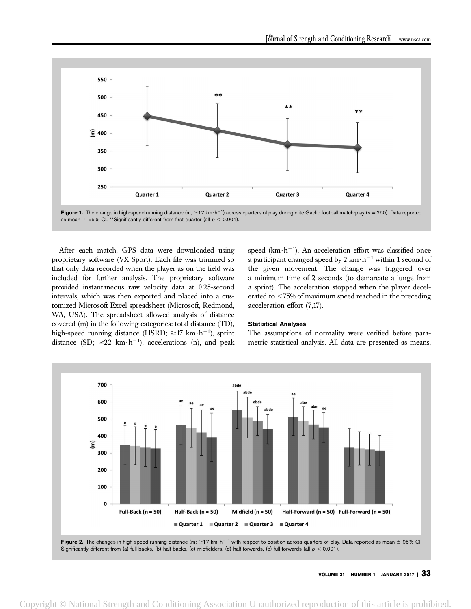

Figure 1. The change in high-speed running distance (m;  $\geq$  17 km·h<sup>-1</sup>) across quarters of play during elite Gaelic football match-play (n = 250). Data reported as mean  $\pm$  95% Cl. \*\*Significantly different from first quarter (all  $p < 0.001$ ).

After each match, GPS data were downloaded using proprietary software (VX Sport). Each file was trimmed so that only data recorded when the player as on the field was included for further analysis. The proprietary software provided instantaneous raw velocity data at 0.25-second intervals, which was then exported and placed into a customized Microsoft Excel spreadsheet (Microsoft, Redmond, WA, USA). The spreadsheet allowed analysis of distance covered (m) in the following categories: total distance (TD), high-speed running distance (HSRD;  $\geq$ 17 km $\cdot$ h<sup>-1</sup>), sprint distance (SD;  $\geq$ 22 km $\cdot$ h<sup>-1</sup>), accelerations (n), and peak speed ( $km \cdot h^{-1}$ ). An acceleration effort was classified once a participant changed speed by 2 km $\cdot$ h<sup>-1</sup> within 1 second of the given movement. The change was triggered over a minimum time of 2 seconds (to demarcate a lunge from a sprint). The acceleration stopped when the player decelerated to  $<$  75% of maximum speed reached in the preceding acceleration effort (7,17).

#### Statistical Analyses

The assumptions of normality were verified before parametric statistical analysis. All data are presented as means,

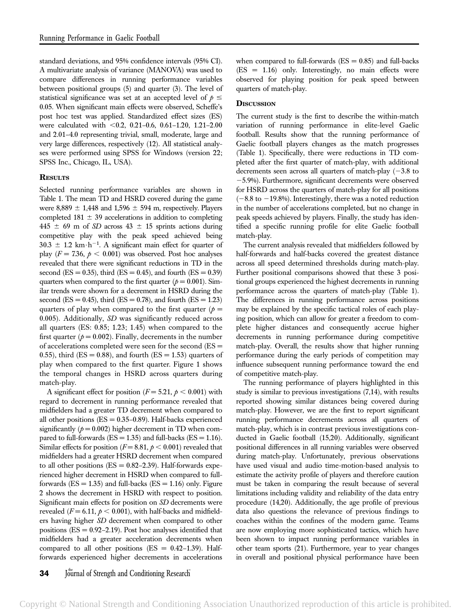standard deviations, and 95% confidence intervals (95% CI). A multivariate analysis of variance (MANOVA) was used to compare differences in running performance variables between positional groups (5) and quarter (3). The level of statistical significance was set at an accepted level of  $p \leq$ 0.05. When significant main effects were observed, Scheffe's post hoc test was applied. Standardized effect sizes (ES) were calculated with  $< 0.2, 0.21-0.6, 0.61-1.20, 1.21-2.00$ and 2.01–4.0 representing trivial, small, moderate, large and very large differences, respectively (12). All statistical analyses were performed using SPSS for Windows (version 22; SPSS Inc., Chicago, IL, USA).

# **RESULTS**

Selected running performance variables are shown in Table 1. The mean TD and HSRD covered during the game were 8,889  $\pm$  1,448 and 1,596  $\pm$  594 m, respectively. Players completed 181  $\pm$  39 accelerations in addition to completing  $445 \pm 69$  m of SD across  $43 \pm 15$  sprints actions during competitive play with the peak speed achieved being  $30.3 \pm 1.2$  km $\cdot$ h<sup>-1</sup>. A significant main effect for quarter of play ( $F = 7.36$ ,  $p < 0.001$ ) was observed. Post hoc analyses revealed that there were significant reductions in TD in the second (ES = 0.35), third (ES = 0.45), and fourth (ES = 0.39) quarters when compared to the first quarter ( $p = 0.001$ ). Similar trends were shown for a decrement in HSRD during the second (ES = 0.45), third (ES = 0.78), and fourth (ES = 1.23) quarters of play when compared to the first quarter ( $p =$ 0.005). Additionally, SD was significantly reduced across all quarters (ES: 0.85; 1.23; 1.45) when compared to the first quarter ( $p = 0.002$ ). Finally, decrements in the number of accelerations completed were seen for the second (ES = 0.55), third ( $ES = 0.88$ ), and fourth ( $ES = 1.53$ ) quarters of play when compared to the first quarter. Figure 1 shows the temporal changes in HSRD across quarters during match-play.

A significant effect for position ( $F = 5.21$ ,  $p < 0.001$ ) with regard to decrement in running performance revealed that midfielders had a greater TD decrement when compared to all other positions  $(ES = 0.35-0.89)$ . Half-backs experienced significantly ( $p = 0.002$ ) higher decrement in TD when compared to full-forwards ( $ES = 1.35$ ) and full-backs ( $ES = 1.16$ ). Similar effects for position ( $F = 8.81$ ,  $p < 0.001$ ) revealed that midfielders had a greater HSRD decrement when compared to all other positions ( $ES = 0.82 - 2.39$ ). Half-forwards experienced higher decrement in HSRD when compared to fullforwards  $(ES = 1.35)$  and full-backs  $(ES = 1.16)$  only. Figure 2 shows the decrement in HSRD with respect to position. Significant main effects for position on SD decrements were revealed ( $F = 6.11$ ,  $p < 0.001$ ), with half-backs and midfielders having higher SD decrement when compared to other positions  $(ES = 0.92 - 2.19)$ . Post hoc analyses identified that midfielders had a greater acceleration decrements when compared to all other positions  $(ES = 0.42-1.39)$ . Halfforwards experienced higher decrements in accelerations

# **DISCUSSION**

The current study is the first to describe the within-match variation of running performance in elite-level Gaelic football. Results show that the running performance of Gaelic football players changes as the match progresses (Table 1). Specifically, there were reductions in TD completed after the first quarter of match-play, with additional decrements seen across all quarters of match-play  $(-3.8 \text{ to}$ 25.9%). Furthermore, significant decrements were observed for HSRD across the quarters of match-play for all positions  $(-8.8$  to  $-19.8$ %). Interestingly, there was a noted reduction in the number of accelerations completed, but no change in peak speeds achieved by players. Finally, the study has identified a specific running profile for elite Gaelic football match-play.

The current analysis revealed that midfielders followed by half-forwards and half-backs covered the greatest distance across all speed determined thresholds during match-play. Further positional comparisons showed that these 3 positional groups experienced the highest decrements in running performance across the quarters of match-play (Table 1). The differences in running performance across positions may be explained by the specific tactical roles of each playing position, which can allow for greater a freedom to complete higher distances and consequently accrue higher decrements in running performance during competitive match-play. Overall, the results show that higher running performance during the early periods of competition may influence subsequent running performance toward the end of competitive match-play.

The running performance of players highlighted in this study is similar to previous investigations (7,14), with results reported showing similar distances being covered during match-play. However, we are the first to report significant running performance decrements across all quarters of match-play, which is in contrast previous investigations conducted in Gaelic football (15,20). Additionally, significant positional differences in all running variables were observed during match-play. Unfortunately, previous observations have used visual and audio time-motion-based analysis to estimate the activity profile of players and therefore caution must be taken in comparing the result because of several limitations including validity and reliability of the data entry procedure (14,20). Additionally, the age profile of previous data also questions the relevance of previous findings to coaches within the confines of the modern game. Teams are now employing more sophisticated tactics, which have been shown to impact running performance variables in other team sports (21). Furthermore, year to year changes in overall and positional physical performance have been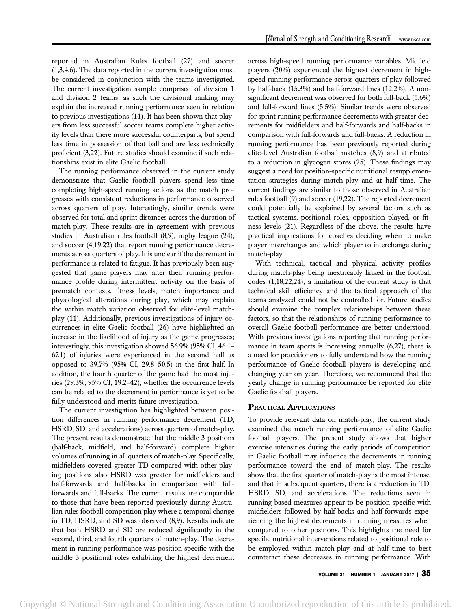reported in Australian Rules football (27) and soccer (1,3,4,6). The data reported in the current investigation must be considered in conjunction with the teams investigated. The current investigation sample comprised of division 1 and division 2 teams; as such the divisional ranking may explain the increased running performance seen in relation to previous investigations (14). It has been shown that players from less successful soccer teams complete higher activity levels than there more successful counterparts, but spend less time in possession of that ball and are less technically proficient (3,22). Future studies should examine if such relationships exist in elite Gaelic football.

The running performance observed in the current study demonstrate that Gaelic football players spend less time completing high-speed running actions as the match progresses with consistent reductions in performance observed across quarters of play. Interestingly, similar trends were observed for total and sprint distances across the duration of match-play. These results are in agreement with previous studies in Australian rules football (8,9), rugby league (24), and soccer (4,19,22) that report running performance decrements across quarters of play. It is unclear if the decrement in performance is related to fatigue. It has previously been suggested that game players may alter their running performance profile during intermittent activity on the basis of prematch contexts, fitness levels, match importance and physiological alterations during play, which may explain the within match variation observed for elite-level matchplay (11). Additionally, previous investigations of injury occurrences in elite Gaelic football (26) have highlighted an increase in the likelihood of injury as the game progresses; interestingly, this investigation showed 56.9% (95% CI, 46.1– 67.1) of injuries were experienced in the second half as opposed to 39.7% (95% CI, 29.8–50.5) in the first half. In addition, the fourth quarter of the game had the most injuries (29.3%, 95% CI, 19.2–42), whether the occurrence levels can be related to the decrement in performance is yet to be fully understood and merits future investigation.

The current investigation has highlighted between position differences in running performance decrement (TD, HSRD, SD, and accelerations) across quarters of match-play. The present results demonstrate that the middle 3 positions (half-back, midfield, and half-forward) complete higher volumes of running in all quarters of match-play. Specifically, midfielders covered greater TD compared with other playing positions also HSRD was greater for midfielders and half-forwards and half-backs in comparison with fullforwards and full-backs. The current results are comparable to those that have been reported previously during Australian rules football competition play where a temporal change in TD, HSRD, and SD was observed (8,9). Results indicate that both HSRD and SD are reduced significantly in the second, third, and fourth quarters of match-play. The decrement in running performance was position specific with the middle 3 positional roles exhibiting the highest decrement across high-speed running performance variables. Midfield players (20%) experienced the highest decrement in highspeed running performance across quarters of play followed by half-back (15.3%) and half-forward lines (12.2%). A nonsignificant decrement was observed for both full-back (5.6%) and full-forward lines (5.5%). Similar trends were observed for sprint running performance decrements with greater decrements for midfielders and half-forwards and half-backs in comparison with full-forwards and full-backs. A reduction in running performance has been previously reported during elite-level Australian football matches (8,9) and attributed to a reduction in glycogen stores (25). These findings may suggest a need for position-specific nutritional resupplementation strategies during match-play and at half time. The current findings are similar to those observed in Australian rules football (9) and soccer (19,22). The reported decrement could potentially be explained by several factors such as tactical systems, positional roles, opposition played, or fitness levels (21). Regardless of the above, the results have practical implications for coaches deciding when to make player interchanges and which player to interchange during match-play.

With technical, tactical and physical activity profiles during match-play being inextricably linked in the football codes (1,18,22,24), a limitation of the current study is that technical skill efficiency and the tactical approach of the teams analyzed could not be controlled for. Future studies should examine the complex relationships between these factors, so that the relationships of running performance to overall Gaelic football performance are better understood. With previous investigations reporting that running performance in team sports is increasing annually (6,27), there is a need for practitioners to fully understand how the running performance of Gaelic football players is developing and changing year on year. Therefore, we recommend that the yearly change in running performance be reported for elite Gaelic football players.

# PRACTICAL APPLICATIONS

To provide relevant data on match-play, the current study examined the match running performance of elite Gaelic football players. The present study shows that higher exercise intensities during the early periods of competition in Gaelic football may influence the decrements in running performance toward the end of match-play. The results show that the first quarter of match-play is the most intense, and that in subsequent quarters, there is a reduction in TD, HSRD, SD, and accelerations. The reductions seen in running-based measures appear to be position specific with midfielders followed by half-backs and half-forwards experiencing the highest decrements in running measures when compared to other positions. This highlights the need for specific nutritional interventions related to positional role to be employed within match-play and at half time to best counteract these decreases in running performance. With